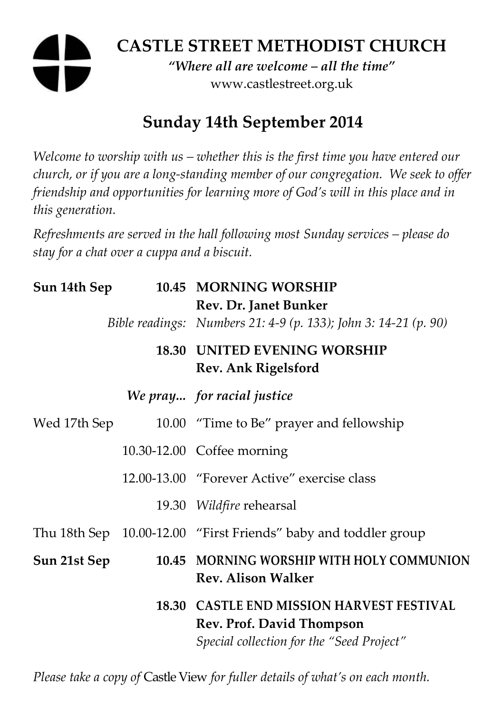# **CASTLE STREET METHODIST CHURCH**

*"Where all are welcome – all the time"*  www.castlestreet.org.uk

## **Sunday 14th September 2014**

*Welcome to worship with us – whether this is the first time you have entered our church, or if you are a long-standing member of our congregation. We seek to offer friendship and opportunities for learning more of God's will in this place and in this generation.* 

*Refreshments are served in the hall following most Sunday services – please do stay for a chat over a cuppa and a biscuit.* 

| Sun 14th Sep |  | 10.45 MORNING WORSHIP<br>Rev. Dr. Janet Bunker                                                                      |
|--------------|--|---------------------------------------------------------------------------------------------------------------------|
|              |  | Bible readings: Numbers 21: 4-9 (p. 133); John 3: 14-21 (p. 90)                                                     |
|              |  | <b>18.30 UNITED EVENING WORSHIP</b><br>Rev. Ank Rigelsford                                                          |
|              |  | We pray for racial justice                                                                                          |
| Wed 17th Sep |  | 10.00 "Time to Be" prayer and fellowship                                                                            |
|              |  | 10.30-12.00 Coffee morning                                                                                          |
|              |  | 12.00-13.00 "Forever Active" exercise class                                                                         |
|              |  | 19.30 Wildfire rehearsal                                                                                            |
|              |  | Thu 18th Sep 10.00-12.00 "First Friends" baby and toddler group                                                     |
| Sun 21st Sep |  | 10.45 MORNING WORSHIP WITH HOLY COMMUNION<br><b>Rev. Alison Walker</b>                                              |
|              |  | 18.30 CASTLE END MISSION HARVEST FESTIVAL<br>Rev. Prof. David Thompson<br>Special collection for the "Seed Project" |

*Please take a copy of* Castle View *for fuller details of what's on each month.*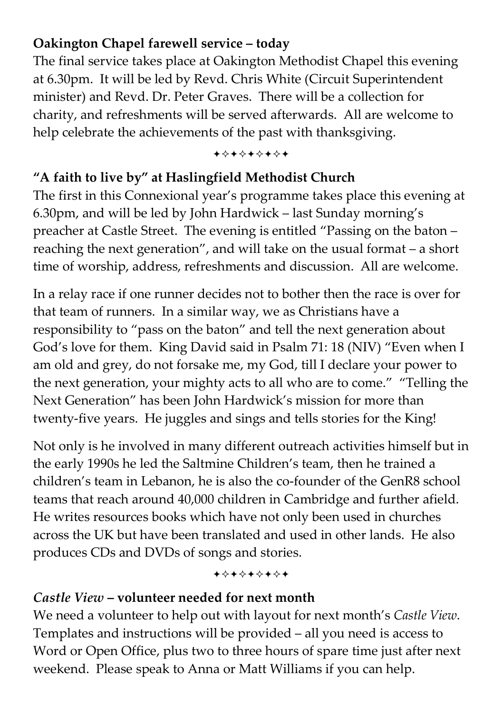### **Oakington Chapel farewell service – today**

The final service takes place at Oakington Methodist Chapel this evening at 6.30pm. It will be led by Revd. Chris White (Circuit Superintendent minister) and Revd. Dr. Peter Graves. There will be a collection for charity, and refreshments will be served afterwards. All are welcome to help celebrate the achievements of the past with thanksgiving.

#### +\*\*\*\*\*\*\*

#### **"A faith to live by" at Haslingfield Methodist Church**

The first in this Connexional year's programme takes place this evening at 6.30pm, and will be led by John Hardwick – last Sunday morning's preacher at Castle Street. The evening is entitled "Passing on the baton – reaching the next generation", and will take on the usual format – a short time of worship, address, refreshments and discussion. All are welcome.

In a relay race if one runner decides not to bother then the race is over for that team of runners. In a similar way, we as Christians have a responsibility to "pass on the baton" and tell the next generation about God's love for them. King David said in Psalm 71: 18 (NIV) "Even when I am old and grey, do not forsake me, my God, till I declare your power to the next generation, your mighty acts to all who are to come." "Telling the Next Generation" has been John Hardwick's mission for more than twenty-five years. He juggles and sings and tells stories for the King!

Not only is he involved in many different outreach activities himself but in the early 1990s he led the Saltmine Children's team, then he trained a children's team in Lebanon, he is also the co-founder of the GenR8 school teams that reach around 40,000 children in Cambridge and further afield. He writes resources books which have not only been used in churches across the UK but have been translated and used in other lands. He also produces CDs and DVDs of songs and stories.

+\*+\*\*\*\*\*

#### *Castle View* **– volunteer needed for next month**

We need a volunteer to help out with layout for next month's *Castle View*. Templates and instructions will be provided – all you need is access to Word or Open Office, plus two to three hours of spare time just after next weekend. Please speak to Anna or Matt Williams if you can help.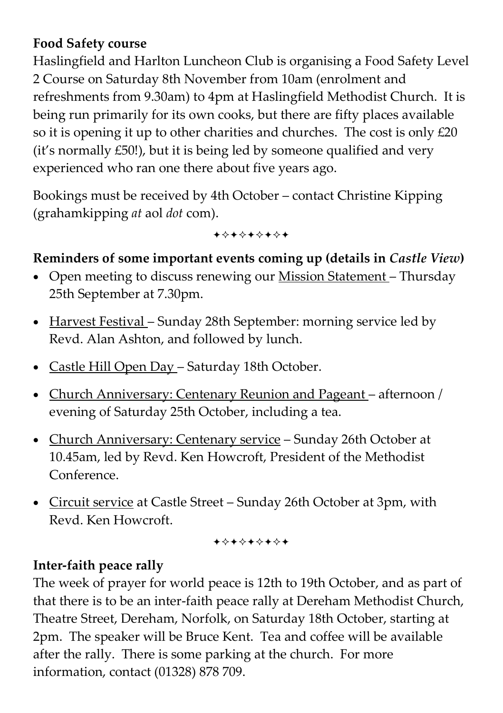#### **Food Safety course**

Haslingfield and Harlton Luncheon Club is organising a Food Safety Level 2 Course on Saturday 8th November from 10am (enrolment and refreshments from 9.30am) to 4pm at Haslingfield Methodist Church. It is being run primarily for its own cooks, but there are fifty places available so it is opening it up to other charities and churches. The cost is only  $£20$ (it's normally £50!), but it is being led by someone qualified and very experienced who ran one there about five years ago.

Bookings must be received by 4th October – contact Christine Kipping (grahamkipping *at* aol *dot* com).

+\*+\*\*\*\*+

#### Reminders of some important events coming up (details in *Castle View*)

- Open meeting to discuss renewing our Mission Statement Thursday 25th September at 7.30pm.
- Harvest Festival Sunday 28th September: morning service led by Revd. Alan Ashton, and followed by lunch.
- Castle Hill Open Day Saturday 18th October.
- Church Anniversary: Centenary Reunion and Pageant afternoon / evening of Saturday 25th October, including a tea.
- Church Anniversary: Centenary service Sunday 26th October at 10.45am, led by Revd. Ken Howcroft, President of the Methodist Conference.
- Circuit service at Castle Street Sunday 26th October at 3pm, with Revd. Ken Howcroft.

+\*+\*\*\*\*\*

### **Inter-faith peace rally**

The week of prayer for world peace is 12th to 19th October, and as part of that there is to be an inter-faith peace rally at Dereham Methodist Church, Theatre Street, Dereham, Norfolk, on Saturday 18th October, starting at 2pm. The speaker will be Bruce Kent. Tea and coffee will be available after the rally. There is some parking at the church. For more information, contact (01328) 878 709.